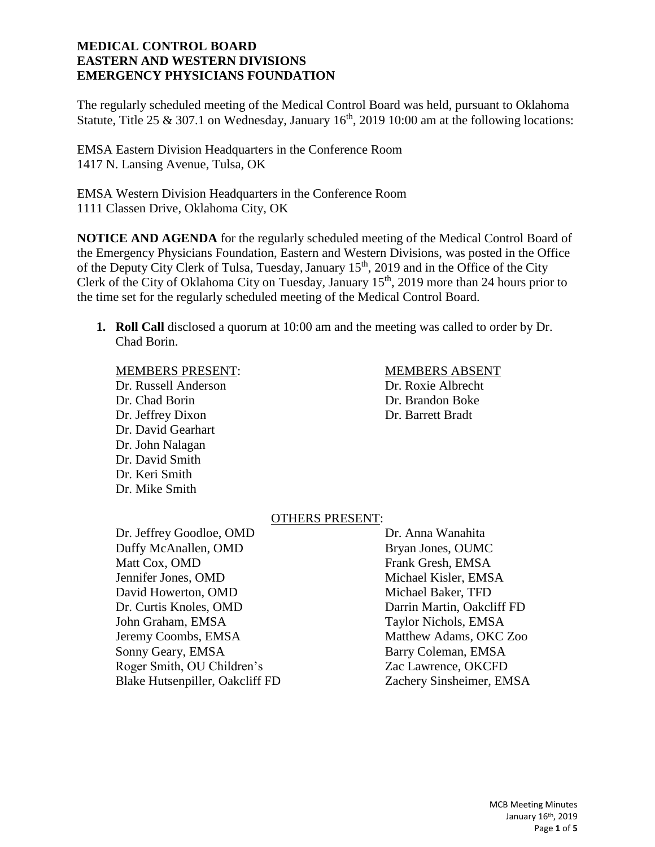The regularly scheduled meeting of the Medical Control Board was held, pursuant to Oklahoma Statute, Title 25 & 307.1 on Wednesday, January  $16<sup>th</sup>$ , 2019 10:00 am at the following locations:

EMSA Eastern Division Headquarters in the Conference Room 1417 N. Lansing Avenue, Tulsa, OK

EMSA Western Division Headquarters in the Conference Room 1111 Classen Drive, Oklahoma City, OK

**NOTICE AND AGENDA** for the regularly scheduled meeting of the Medical Control Board of the Emergency Physicians Foundation, Eastern and Western Divisions, was posted in the Office of the Deputy City Clerk of Tulsa, Tuesday, January 15<sup>th</sup>, 2019 and in the Office of the City Clerk of the City of Oklahoma City on Tuesday, January 15<sup>th</sup>, 2019 more than 24 hours prior to the time set for the regularly scheduled meeting of the Medical Control Board.

**1. Roll Call** disclosed a quorum at 10:00 am and the meeting was called to order by Dr. Chad Borin.

#### MEMBERS PRESENT: MEMBERS ABSENT

Dr. Russell Anderson Dr. Roxie Albrecht Dr. Chad Borin Dr. Brandon Boke Dr. Jeffrey Dixon Dr. Barrett Bradt Dr. David Gearhart Dr. John Nalagan Dr. David Smith Dr. Keri Smith Dr. Mike Smith

# OTHERS PRESENT:

Dr. Jeffrey Goodloe, OMD Dr. Anna Wanahita Duffy McAnallen, OMD Bryan Jones, OUMC Matt Cox, OMD Frank Gresh, EMSA Jennifer Jones, OMD Michael Kisler, EMSA David Howerton, OMD Michael Baker, TFD Dr. Curtis Knoles, OMD Darrin Martin, Oakcliff FD John Graham, EMSA Taylor Nichols, EMSA Jeremy Coombs, EMSA Matthew Adams, OKC Zoo Sonny Geary, EMSA Barry Coleman, EMSA Roger Smith, OU Children's Zac Lawrence, OKCFD

Blake Hutsenpiller, Oakcliff FD Zachery Sinsheimer, EMSA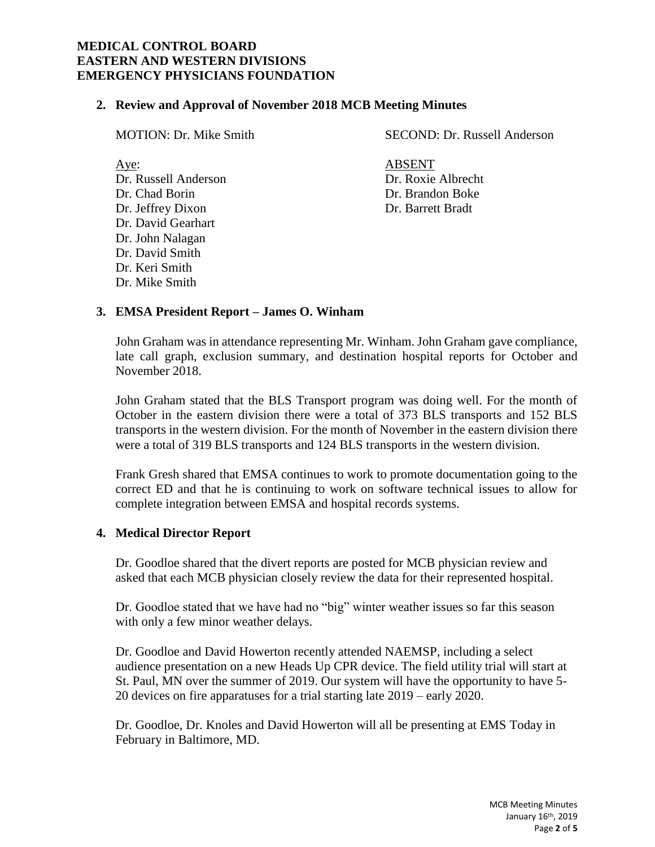## **2. Review and Approval of November 2018 MCB Meeting Minutes**

| <b>MOTION: Dr. Mike Smith</b> | SECOND: Dr. Russell Anderson |
|-------------------------------|------------------------------|
| Aye:                          | ABSENT                       |
| Dr. Russell Anderson          | Dr. Roxie Albrecht           |

Dr. Chad Borin Dr. Brandon Boke Dr. Jeffrey Dixon Dr. Barrett Bradt Dr. David Gearhart Dr. John Nalagan Dr. David Smith Dr. Keri Smith Dr. Mike Smith

# **3. EMSA President Report – James O. Winham**

John Graham was in attendance representing Mr. Winham. John Graham gave compliance, late call graph, exclusion summary, and destination hospital reports for October and November 2018.

John Graham stated that the BLS Transport program was doing well. For the month of October in the eastern division there were a total of 373 BLS transports and 152 BLS transports in the western division. For the month of November in the eastern division there were a total of 319 BLS transports and 124 BLS transports in the western division.

Frank Gresh shared that EMSA continues to work to promote documentation going to the correct ED and that he is continuing to work on software technical issues to allow for complete integration between EMSA and hospital records systems.

# **4. Medical Director Report**

Dr. Goodloe shared that the divert reports are posted for MCB physician review and asked that each MCB physician closely review the data for their represented hospital.

Dr. Goodloe stated that we have had no "big" winter weather issues so far this season with only a few minor weather delays.

Dr. Goodloe and David Howerton recently attended NAEMSP, including a select audience presentation on a new Heads Up CPR device. The field utility trial will start at St. Paul, MN over the summer of 2019. Our system will have the opportunity to have 5- 20 devices on fire apparatuses for a trial starting late 2019 – early 2020.

Dr. Goodloe, Dr. Knoles and David Howerton will all be presenting at EMS Today in February in Baltimore, MD.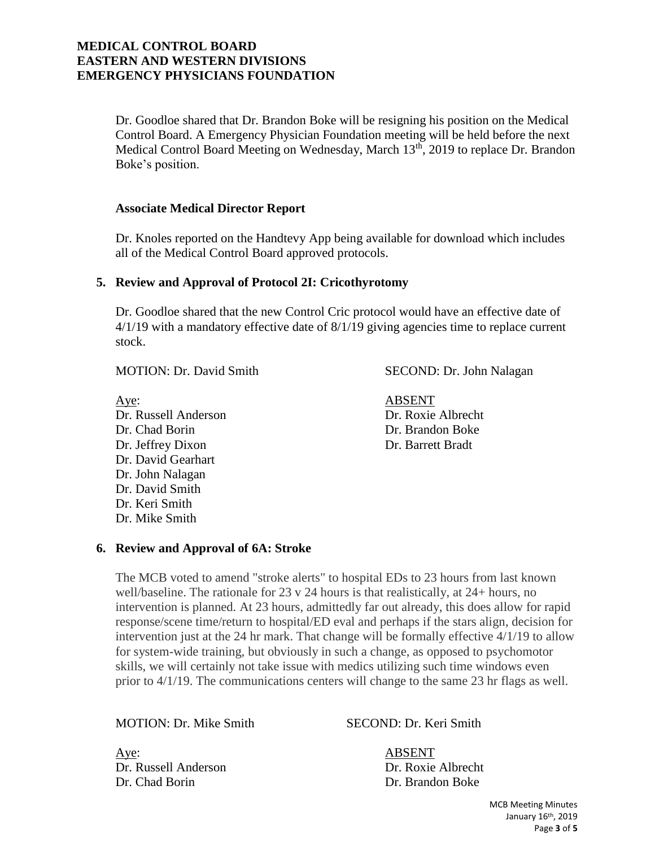Dr. Goodloe shared that Dr. Brandon Boke will be resigning his position on the Medical Control Board. A Emergency Physician Foundation meeting will be held before the next Medical Control Board Meeting on Wednesday, March 13<sup>th</sup>, 2019 to replace Dr. Brandon Boke's position.

#### **Associate Medical Director Report**

Dr. Knoles reported on the Handtevy App being available for download which includes all of the Medical Control Board approved protocols.

### **5. Review and Approval of Protocol 2I: Cricothyrotomy**

Dr. Goodloe shared that the new Control Cric protocol would have an effective date of 4/1/19 with a mandatory effective date of 8/1/19 giving agencies time to replace current stock.

MOTION: Dr. David Smith SECOND: Dr. John Nalagan

Aye: ABSENT Dr. Russell Anderson Dr. Roxie Albrecht Dr. Chad Borin Dr. Brandon Boke Dr. Jeffrey Dixon Dr. Barrett Bradt Dr. David Gearhart Dr. John Nalagan Dr. David Smith Dr. Keri Smith Dr. Mike Smith

#### **6. Review and Approval of 6A: Stroke**

The MCB voted to amend "stroke alerts" to hospital EDs to 23 hours from last known well/baseline. The rationale for 23 v 24 hours is that realistically, at 24+ hours, no intervention is planned. At 23 hours, admittedly far out already, this does allow for rapid response/scene time/return to hospital/ED eval and perhaps if the stars align, decision for intervention just at the 24 hr mark. That change will be formally effective 4/1/19 to allow for system-wide training, but obviously in such a change, as opposed to psychomotor skills, we will certainly not take issue with medics utilizing such time windows even prior to 4/1/19. The communications centers will change to the same 23 hr flags as well.

MOTION: Dr. Mike Smith SECOND: Dr. Keri Smith

Aye: ABSENT Dr. Russell Anderson Dr. Roxie Albrecht Dr. Chad Borin Dr. Brandon Boke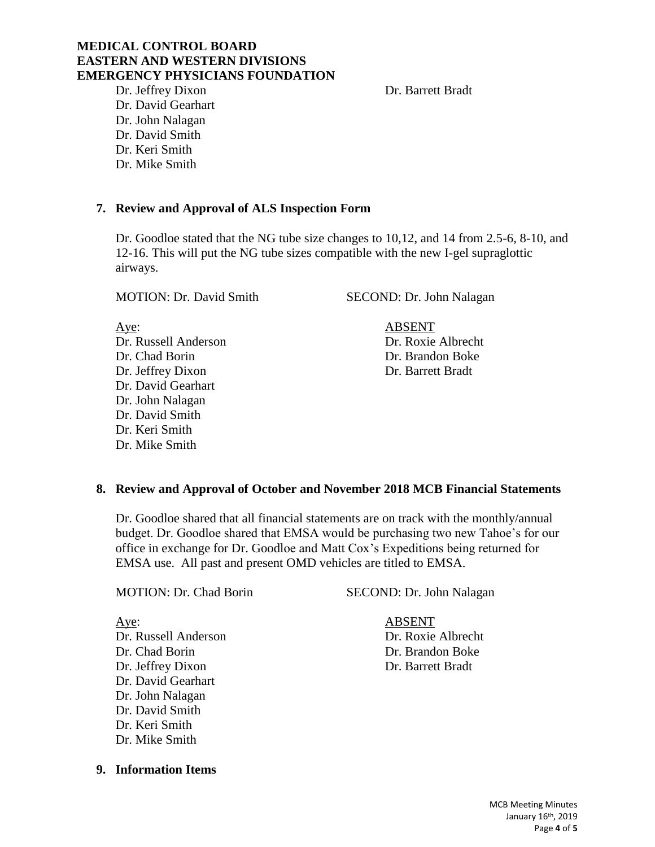Dr. Jeffrey Dixon Dr. Barrett Bradt Dr. David Gearhart Dr. John Nalagan Dr. David Smith Dr. Keri Smith Dr. Mike Smith

# **7. Review and Approval of ALS Inspection Form**

Dr. Goodloe stated that the NG tube size changes to 10,12, and 14 from 2.5-6, 8-10, and 12-16. This will put the NG tube sizes compatible with the new I-gel supraglottic airways.

MOTION: Dr. David Smith SECOND: Dr. John Nalagan

Aye: ABSENT Dr. Russell Anderson Dr. Roxie Albrecht Dr. Chad Borin Dr. Brandon Boke Dr. Jeffrey Dixon Dr. Barrett Bradt Dr. David Gearhart Dr. John Nalagan Dr. David Smith Dr. Keri Smith Dr. Mike Smith

# **8. Review and Approval of October and November 2018 MCB Financial Statements**

Dr. Goodloe shared that all financial statements are on track with the monthly/annual budget. Dr. Goodloe shared that EMSA would be purchasing two new Tahoe's for our office in exchange for Dr. Goodloe and Matt Cox's Expeditions being returned for EMSA use. All past and present OMD vehicles are titled to EMSA.

Aye: ABSENT Dr. Russell Anderson Dr. Roxie Albrecht Dr. Chad Borin Dr. Brandon Boke Dr. Jeffrey Dixon Dr. Barrett Bradt Dr. David Gearhart Dr. John Nalagan Dr. David Smith Dr. Keri Smith Dr. Mike Smith

**9. Information Items**

MOTION: Dr. Chad Borin SECOND: Dr. John Nalagan